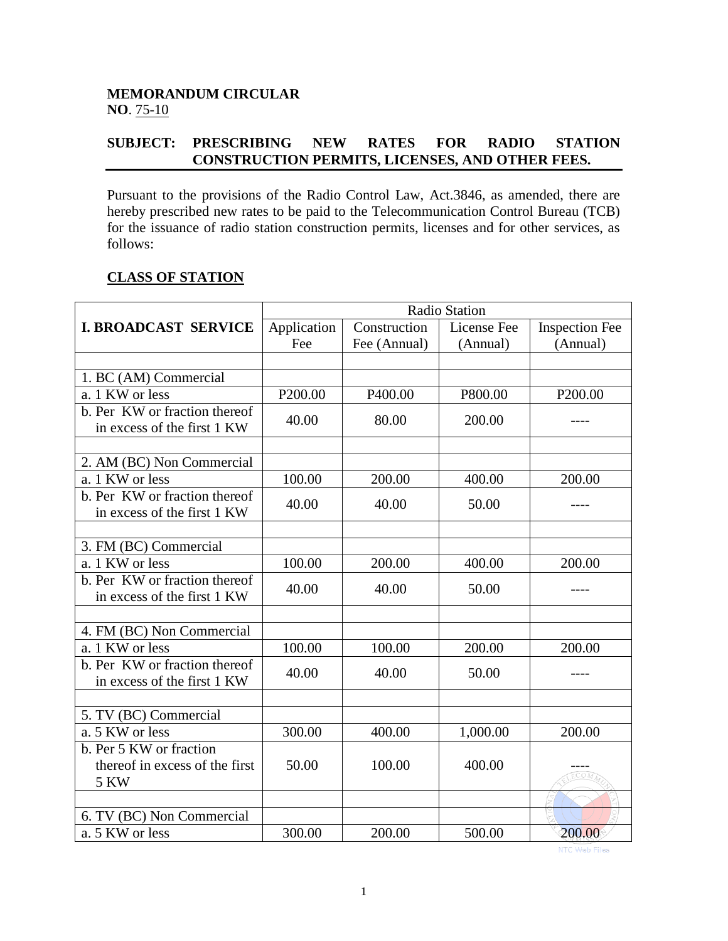## **MEMORANDUM CIRCULAR NO**. 75-10

## **SUBJECT: PRESCRIBING NEW RATES FOR RADIO STATION CONSTRUCTION PERMITS, LICENSES, AND OTHER FEES.**

Pursuant to the provisions of the Radio Control Law, Act.3846, as amended, there are hereby prescribed new rates to be paid to the Telecommunication Control Bureau (TCB) for the issuance of radio station construction permits, licenses and for other services, as follows:

## **CLASS OF STATION**

|                                                              | <b>Radio Station</b> |              |             |                       |
|--------------------------------------------------------------|----------------------|--------------|-------------|-----------------------|
| <b>I. BROADCAST SERVICE</b>                                  | Application          | Construction | License Fee | <b>Inspection Fee</b> |
|                                                              | Fee                  | Fee (Annual) | (Annual)    | (Annual)              |
|                                                              |                      |              |             |                       |
| 1. BC (AM) Commercial                                        |                      |              |             |                       |
| a. 1 KW or less                                              | P200.00              | P400.00      | P800.00     | P200.00               |
| b. Per KW or fraction thereof<br>in excess of the first 1 KW | 40.00                | 80.00        | 200.00      |                       |
|                                                              |                      |              |             |                       |
| 2. AM (BC) Non Commercial                                    |                      |              |             |                       |
| a. 1 KW or less                                              | 100.00               | 200.00       | 400.00      | 200.00                |
| b. Per KW or fraction thereof<br>in excess of the first 1 KW | 40.00                | 40.00        | 50.00       | ----                  |
|                                                              |                      |              |             |                       |
| 3. FM (BC) Commercial                                        |                      |              |             |                       |
| a. 1 KW or less                                              | 100.00               | 200.00       | 400.00      | 200.00                |
| b. Per KW or fraction thereof<br>in excess of the first 1 KW | 40.00                | 40.00        | 50.00       |                       |
|                                                              |                      |              |             |                       |
| 4. FM (BC) Non Commercial                                    |                      |              |             |                       |
| a. 1 KW or less                                              | 100.00               | 100.00       | 200.00      | 200.00                |
| b. Per KW or fraction thereof<br>in excess of the first 1 KW | 40.00                | 40.00        | 50.00       | ----                  |
|                                                              |                      |              |             |                       |
| 5. TV (BC) Commercial                                        |                      |              |             |                       |
| a. 5 KW or less                                              | 300.00               | 400.00       | 1,000.00    | 200.00                |
| b. Per 5 KW or fraction                                      |                      |              |             |                       |
| thereof in excess of the first                               | 50.00                | 100.00       | 400.00      |                       |
| <b>5 KW</b>                                                  |                      |              |             |                       |
|                                                              |                      |              |             |                       |
| 6. TV (BC) Non Commercial                                    |                      |              |             |                       |
| a. 5 KW or less                                              | 300.00               | 200.00       | 500.00      | 200.00                |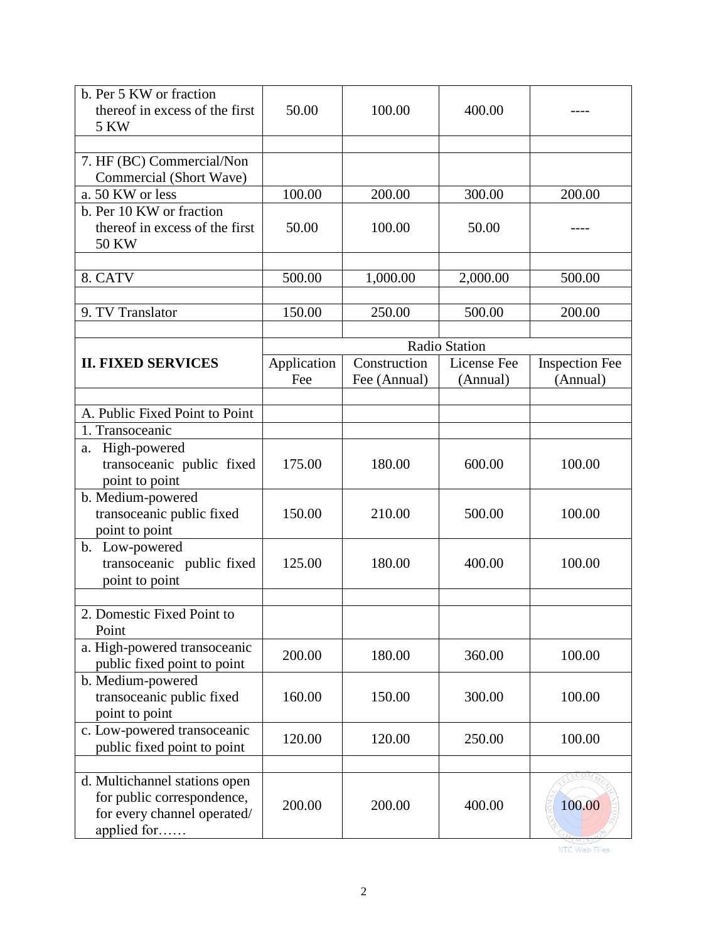| b. Per 5 KW or fraction<br>thereof in excess of the first<br>5 KW                                         | 50.00       | 100.00       | 400.00        |                |
|-----------------------------------------------------------------------------------------------------------|-------------|--------------|---------------|----------------|
|                                                                                                           |             |              |               |                |
| 7. HF (BC) Commercial/Non<br>Commercial (Short Wave)                                                      |             |              |               |                |
| a. 50 KW or less                                                                                          | 100.00      | 200.00       | 300.00        | 200.00         |
| b. Per 10 KW or fraction<br>thereof in excess of the first<br><b>50 KW</b>                                | 50.00       | 100.00       | 50.00         |                |
|                                                                                                           |             |              |               |                |
| 8. CATV                                                                                                   | 500.00      | 1,000.00     | 2,000.00      | 500.00         |
| 9. TV Translator                                                                                          | 150.00      | 250.00       | 500.00        | 200.00         |
|                                                                                                           |             |              |               |                |
|                                                                                                           |             |              | Radio Station |                |
| <b>II. FIXED SERVICES</b>                                                                                 | Application | Construction | License Fee   | Inspection Fee |
|                                                                                                           | Fee         | Fee (Annual) | (Annual)      | (Annual)       |
| A. Public Fixed Point to Point                                                                            |             |              |               |                |
| 1. Transoceanic                                                                                           |             |              |               |                |
| High-powered<br>a.                                                                                        |             |              |               |                |
| transoceanic public fixed<br>point to point                                                               | 175.00      | 180.00       | 600.00        | 100.00         |
| b. Medium-powered<br>transoceanic public fixed<br>point to point                                          | 150.00      | 210.00       | 500.00        | 100.00         |
| b. Low-powered<br>transoceanic public fixed<br>point to point                                             | 125.00      | 180.00       | 400.00        | 100.00         |
| 2. Domestic Fixed Point to                                                                                |             |              |               |                |
| Point                                                                                                     |             |              |               |                |
| a. High-powered transoceanic<br>public fixed point to point                                               | 200.00      | 180.00       | 360.00        | 100.00         |
| b. Medium-powered<br>transoceanic public fixed<br>point to point                                          | 160.00      | 150.00       | 300.00        | 100.00         |
| c. Low-powered transoceanic<br>public fixed point to point                                                | 120.00      | 120.00       | 250.00        | 100.00         |
| d. Multichannel stations open<br>for public correspondence,<br>for every channel operated/<br>applied for | 200.00      | 200.00       | 400.00        | 100.00         |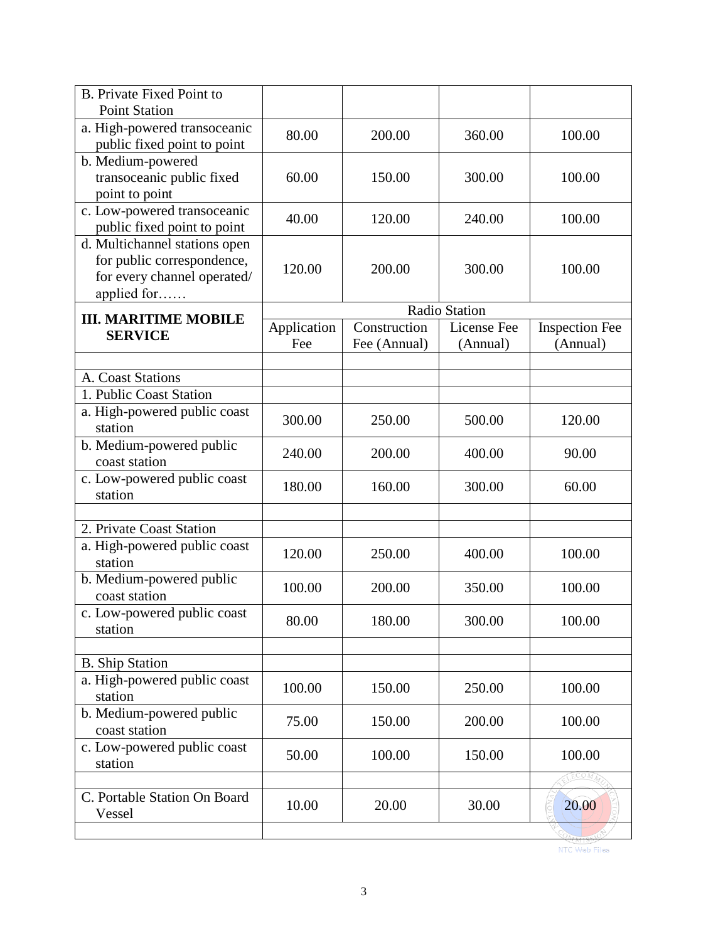| <b>B.</b> Private Fixed Point to<br><b>Point Station</b>                                                  |                    |                              |                         |                                   |
|-----------------------------------------------------------------------------------------------------------|--------------------|------------------------------|-------------------------|-----------------------------------|
| a. High-powered transoceanic<br>public fixed point to point                                               | 80.00              | 200.00                       | 360.00                  | 100.00                            |
| b. Medium-powered<br>transoceanic public fixed<br>point to point                                          | 60.00              | 150.00                       | 300.00                  | 100.00                            |
| c. Low-powered transoceanic<br>public fixed point to point                                                | 40.00              | 120.00                       | 240.00                  | 100.00                            |
| d. Multichannel stations open<br>for public correspondence,<br>for every channel operated/<br>applied for | 120.00             | 200.00                       | 300.00                  | 100.00                            |
|                                                                                                           |                    |                              | Radio Station           |                                   |
| <b>III. MARITIME MOBILE</b><br><b>SERVICE</b>                                                             | Application<br>Fee | Construction<br>Fee (Annual) | License Fee<br>(Annual) | <b>Inspection Fee</b><br>(Annual) |
|                                                                                                           |                    |                              |                         |                                   |
| A. Coast Stations                                                                                         |                    |                              |                         |                                   |
| 1. Public Coast Station                                                                                   |                    |                              |                         |                                   |
| a. High-powered public coast<br>station                                                                   | 300.00             | 250.00                       | 500.00                  | 120.00                            |
| b. Medium-powered public<br>coast station                                                                 | 240.00             | 200.00                       | 400.00                  | 90.00                             |
| c. Low-powered public coast<br>station                                                                    | 180.00             | 160.00                       | 300.00                  | 60.00                             |
|                                                                                                           |                    |                              |                         |                                   |
| 2. Private Coast Station                                                                                  |                    |                              |                         |                                   |
| a. High-powered public coast<br>station                                                                   | 120.00             | 250.00                       | 400.00                  | 100.00                            |
| b. Medium-powered public<br>coast station                                                                 | 100.00             | 200.00                       | 350.00                  | 100.00                            |
| c. Low-powered public coast<br>station                                                                    | 80.00              | 180.00                       | 300.00                  | 100.00                            |
|                                                                                                           |                    |                              |                         |                                   |
| <b>B.</b> Ship Station                                                                                    |                    |                              |                         |                                   |
| a. High-powered public coast<br>station                                                                   | 100.00             | 150.00                       | 250.00                  | 100.00                            |
| b. Medium-powered public<br>coast station                                                                 | 75.00              | 150.00                       | 200.00                  | 100.00                            |
| c. Low-powered public coast<br>station                                                                    | 50.00              | 100.00                       | 150.00                  | 100.00                            |
|                                                                                                           |                    |                              |                         | ECOM                              |
| C. Portable Station On Board<br>Vessel                                                                    | 10.00              | 20.00                        | 30.00                   | 20.00                             |
|                                                                                                           |                    |                              |                         |                                   |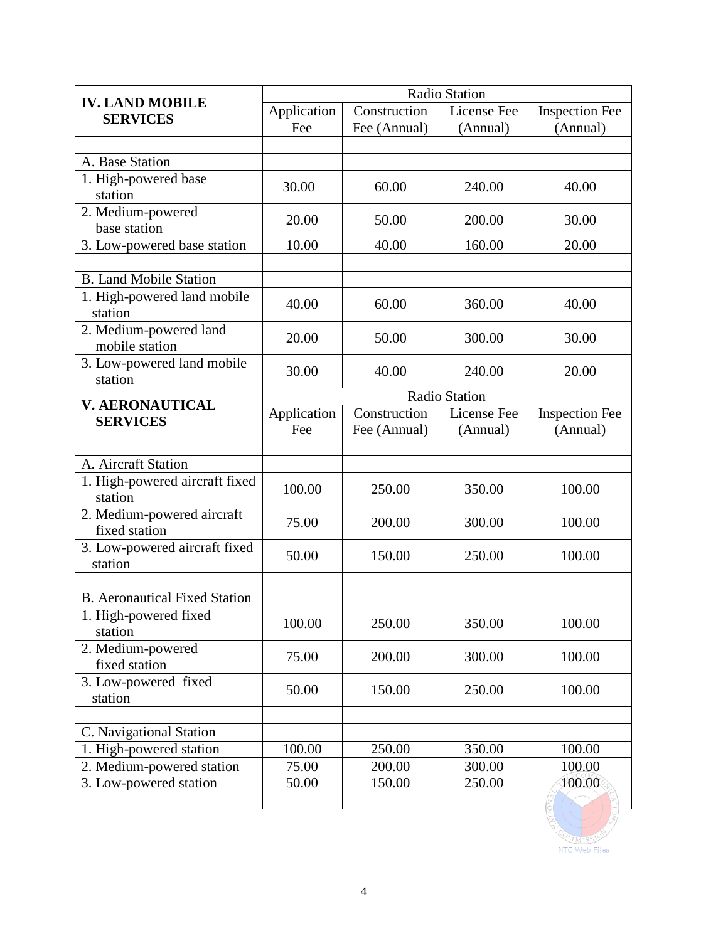|                                             | Radio Station |              |                      |                       |
|---------------------------------------------|---------------|--------------|----------------------|-----------------------|
| <b>IV. LAND MOBILE</b><br><b>SERVICES</b>   | Application   | Construction | License Fee          | <b>Inspection Fee</b> |
|                                             | Fee           | Fee (Annual) | (Annual)             | (Annual)              |
|                                             |               |              |                      |                       |
| A. Base Station                             |               |              |                      |                       |
| 1. High-powered base<br>station             | 30.00         | 60.00        | 240.00               | 40.00                 |
| 2. Medium-powered<br>base station           | 20.00         | 50.00        | 200.00               | 30.00                 |
| 3. Low-powered base station                 | 10.00         | 40.00        | 160.00               | 20.00                 |
|                                             |               |              |                      |                       |
| <b>B.</b> Land Mobile Station               |               |              |                      |                       |
| 1. High-powered land mobile<br>station      | 40.00         | 60.00        | 360.00               | 40.00                 |
| 2. Medium-powered land<br>mobile station    | 20.00         | 50.00        | 300.00               | 30.00                 |
| 3. Low-powered land mobile<br>station       | 30.00         | 40.00        | 240.00               | 20.00                 |
| <b>V. AERONAUTICAL</b>                      |               |              | <b>Radio Station</b> |                       |
| <b>SERVICES</b>                             | Application   | Construction | License Fee          | <b>Inspection Fee</b> |
|                                             | Fee           | Fee (Annual) | (Annual)             | (Annual)              |
|                                             |               |              |                      |                       |
| A. Aircraft Station                         |               |              |                      |                       |
| 1. High-powered aircraft fixed<br>station   | 100.00        | 250.00       | 350.00               | 100.00                |
| 2. Medium-powered aircraft<br>fixed station | 75.00         | 200.00       | 300.00               | 100.00                |
| 3. Low-powered aircraft fixed<br>station    | 50.00         | 150.00       | 250.00               | 100.00                |
|                                             |               |              |                      |                       |
| <b>B.</b> Aeronautical Fixed Station        |               |              |                      |                       |
| 1. High-powered fixed<br>station            | 100.00        | 250.00       | 350.00               | 100.00                |
| 2. Medium-powered<br>fixed station          | 75.00         | 200.00       | 300.00               | 100.00                |
| 3. Low-powered fixed<br>station             | 50.00         | 150.00       | 250.00               | 100.00                |
|                                             |               |              |                      |                       |
| C. Navigational Station                     |               |              |                      |                       |
| 1. High-powered station                     | 100.00        | 250.00       | 350.00               | 100.00                |
| 2. Medium-powered station                   | 75.00         | 200.00       | 300.00               | 100.00                |
| 3. Low-powered station                      | 50.00         | 150.00       | 250.00               | 100.00                |
|                                             |               |              |                      |                       |

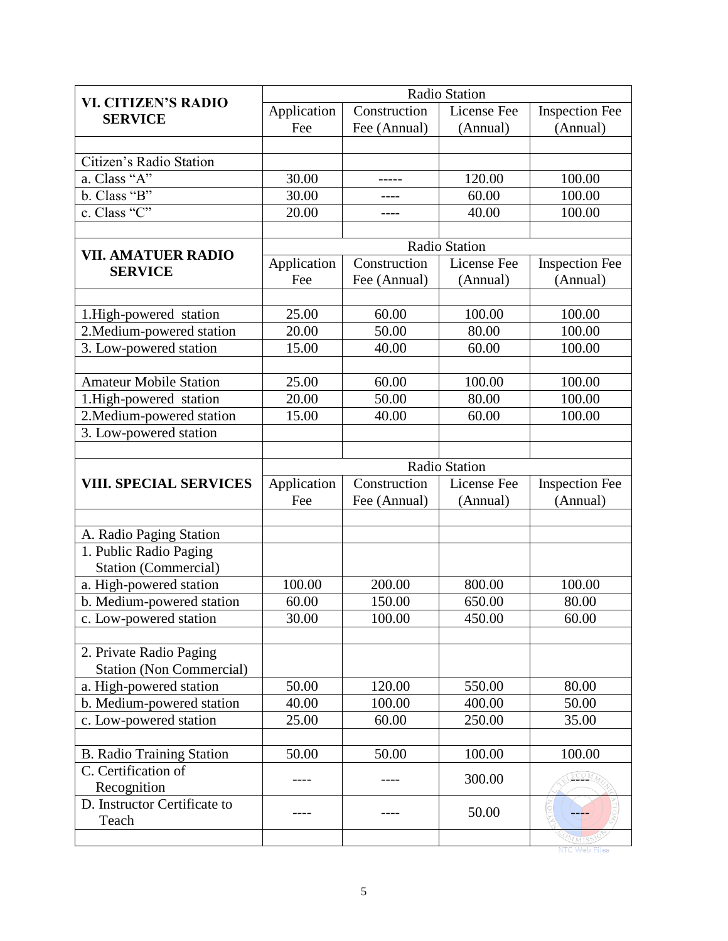| <b>VI. CITIZEN'S RADIO</b>       | Radio Station |              |               |                       |
|----------------------------------|---------------|--------------|---------------|-----------------------|
| <b>SERVICE</b>                   | Application   | Construction | License Fee   | <b>Inspection Fee</b> |
|                                  | Fee           | Fee (Annual) | (Annual)      | (Annual)              |
|                                  |               |              |               |                       |
| Citizen's Radio Station          |               |              |               |                       |
| a. Class "A"                     | 30.00         |              | 120.00        | 100.00                |
| b. Class "B"                     | 30.00         | ----         | 60.00         | 100.00                |
| c. Class "C"                     | 20.00         | ----         | 40.00         | 100.00                |
|                                  |               |              |               |                       |
| <b>VII. AMATUER RADIO</b>        |               |              | Radio Station |                       |
| <b>SERVICE</b>                   | Application   | Construction | License Fee   | <b>Inspection Fee</b> |
|                                  | Fee           | Fee (Annual) | (Annual)      | (Annual)              |
|                                  |               |              |               |                       |
| 1. High-powered station          | 25.00         | 60.00        | 100.00        | 100.00                |
| 2. Medium-powered station        | 20.00         | 50.00        | 80.00         | 100.00                |
| 3. Low-powered station           | 15.00         | 40.00        | 60.00         | 100.00                |
|                                  |               |              |               |                       |
| <b>Amateur Mobile Station</b>    | 25.00         | 60.00        | 100.00        | 100.00                |
| 1.High-powered station           | 20.00         | 50.00        | 80.00         | 100.00                |
| 2. Medium-powered station        | 15.00         | 40.00        | 60.00         | 100.00                |
| 3. Low-powered station           |               |              |               |                       |
|                                  |               |              |               |                       |
|                                  |               |              | Radio Station |                       |
| <b>VIII. SPECIAL SERVICES</b>    | Application   | Construction | License Fee   | <b>Inspection Fee</b> |
|                                  | Fee           | Fee (Annual) | (Annual)      | (Annual)              |
|                                  |               |              |               |                       |
| A. Radio Paging Station          |               |              |               |                       |
| 1. Public Radio Paging           |               |              |               |                       |
| <b>Station (Commercial)</b>      |               |              |               |                       |
| a. High-powered station          | 100.00        | 200.00       | 800.00        | 100.00                |
| b. Medium-powered station        | 60.00         | 150.00       | 650.00        | 80.00                 |
| c. Low-powered station           | 30.00         | 100.00       | 450.00        | 60.00                 |
|                                  |               |              |               |                       |
| 2. Private Radio Paging          |               |              |               |                       |
| <b>Station (Non Commercial)</b>  |               |              |               |                       |
| a. High-powered station          | 50.00         | 120.00       | 550.00        | 80.00                 |
| b. Medium-powered station        | 40.00         | 100.00       | 400.00        | 50.00                 |
| c. Low-powered station           | 25.00         | 60.00        | 250.00        | 35.00                 |
|                                  |               |              |               |                       |
| <b>B.</b> Radio Training Station | 50.00         | 50.00        | 100.00        | 100.00                |
| C. Certification of              |               |              | 300.00        | ECOM                  |
| Recognition                      |               |              |               |                       |
| D. Instructor Certificate to     |               |              | 50.00         |                       |
| Teach                            |               |              |               |                       |
|                                  |               |              |               | OMMIS                 |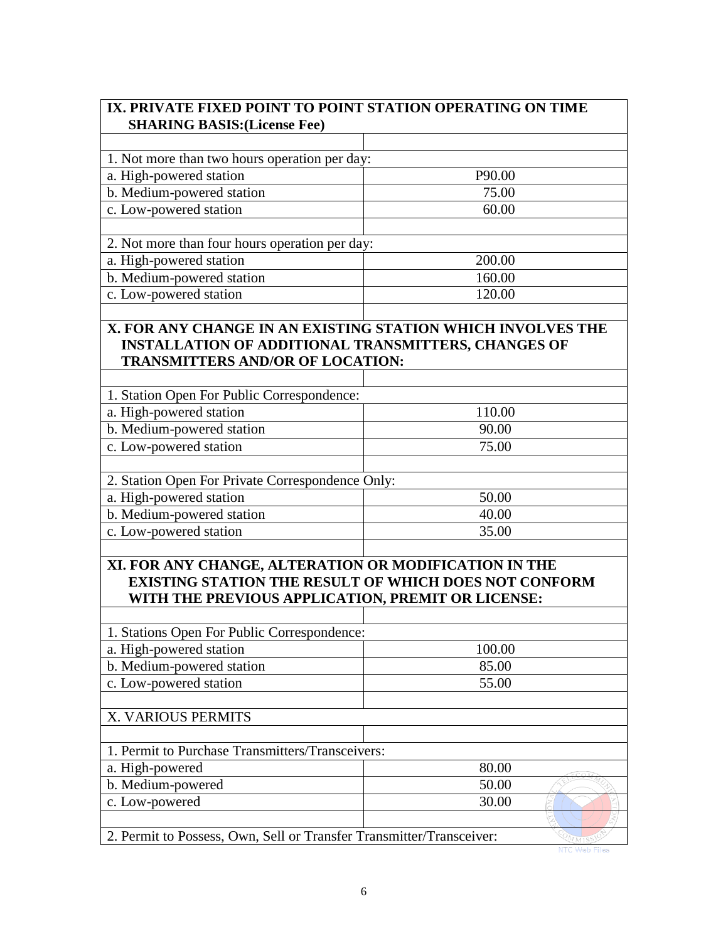| IX. PRIVATE FIXED POINT TO POINT STATION OPERATING ON TIME<br><b>SHARING BASIS: (License Fee)</b>          |                                                                                                                           |  |  |
|------------------------------------------------------------------------------------------------------------|---------------------------------------------------------------------------------------------------------------------------|--|--|
|                                                                                                            |                                                                                                                           |  |  |
| 1. Not more than two hours operation per day:                                                              |                                                                                                                           |  |  |
| a. High-powered station                                                                                    | P90.00                                                                                                                    |  |  |
| b. Medium-powered station                                                                                  | 75.00                                                                                                                     |  |  |
| c. Low-powered station                                                                                     | 60.00                                                                                                                     |  |  |
|                                                                                                            |                                                                                                                           |  |  |
| 2. Not more than four hours operation per day:                                                             |                                                                                                                           |  |  |
| a. High-powered station                                                                                    | 200.00                                                                                                                    |  |  |
| b. Medium-powered station                                                                                  | 160.00                                                                                                                    |  |  |
| c. Low-powered station                                                                                     | 120.00                                                                                                                    |  |  |
|                                                                                                            |                                                                                                                           |  |  |
| <b>TRANSMITTERS AND/OR OF LOCATION:</b>                                                                    | X. FOR ANY CHANGE IN AN EXISTING STATION WHICH INVOLVES THE<br><b>INSTALLATION OF ADDITIONAL TRANSMITTERS, CHANGES OF</b> |  |  |
| 1. Station Open For Public Correspondence:                                                                 |                                                                                                                           |  |  |
| a. High-powered station                                                                                    | 110.00                                                                                                                    |  |  |
| b. Medium-powered station                                                                                  | 90.00                                                                                                                     |  |  |
| c. Low-powered station                                                                                     | 75.00                                                                                                                     |  |  |
|                                                                                                            |                                                                                                                           |  |  |
| 2. Station Open For Private Correspondence Only:                                                           |                                                                                                                           |  |  |
| a. High-powered station                                                                                    | 50.00                                                                                                                     |  |  |
| b. Medium-powered station                                                                                  | 40.00                                                                                                                     |  |  |
| c. Low-powered station                                                                                     | 35.00                                                                                                                     |  |  |
|                                                                                                            |                                                                                                                           |  |  |
| XI. FOR ANY CHANGE, ALTERATION OR MODIFICATION IN THE<br>WITH THE PREVIOUS APPLICATION, PREMIT OR LICENSE: | <b>EXISTING STATION THE RESULT OF WHICH DOES NOT CONFORM</b>                                                              |  |  |
| 1. Stations Open For Public Correspondence:                                                                |                                                                                                                           |  |  |
| a. High-powered station                                                                                    | 100.00                                                                                                                    |  |  |
| b. Medium-powered station                                                                                  | 85.00                                                                                                                     |  |  |
| c. Low-powered station                                                                                     | 55.00                                                                                                                     |  |  |
|                                                                                                            |                                                                                                                           |  |  |
| X. VARIOUS PERMITS                                                                                         |                                                                                                                           |  |  |
|                                                                                                            |                                                                                                                           |  |  |
| 1. Permit to Purchase Transmitters/Transceivers:                                                           |                                                                                                                           |  |  |
| a. High-powered                                                                                            | 80.00                                                                                                                     |  |  |
| b. Medium-powered                                                                                          | 50.00                                                                                                                     |  |  |
| c. Low-powered                                                                                             | 30.00                                                                                                                     |  |  |
| 2. Permit to Possess, Own, Sell or Transfer Transmitter/Transceiver:                                       | OMM1S'                                                                                                                    |  |  |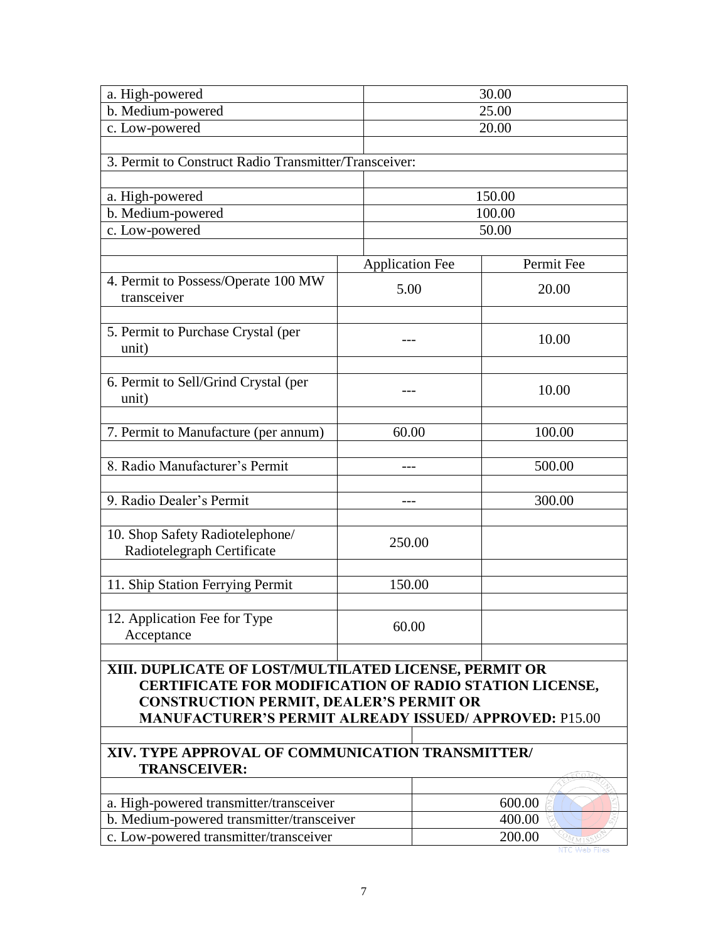| a. High-powered                                                         |                        | 30.00                                                |  |  |
|-------------------------------------------------------------------------|------------------------|------------------------------------------------------|--|--|
| b. Medium-powered                                                       |                        | 25.00                                                |  |  |
| c. Low-powered                                                          |                        | 20.00                                                |  |  |
|                                                                         |                        |                                                      |  |  |
| 3. Permit to Construct Radio Transmitter/Transceiver:                   |                        |                                                      |  |  |
|                                                                         |                        |                                                      |  |  |
| a. High-powered                                                         |                        | 150.00                                               |  |  |
| b. Medium-powered                                                       |                        | 100.00                                               |  |  |
| c. Low-powered                                                          |                        | 50.00                                                |  |  |
|                                                                         | <b>Application Fee</b> | Permit Fee                                           |  |  |
| 4. Permit to Possess/Operate 100 MW                                     |                        |                                                      |  |  |
| transceiver                                                             | 5.00                   | 20.00                                                |  |  |
|                                                                         |                        |                                                      |  |  |
| 5. Permit to Purchase Crystal (per                                      |                        |                                                      |  |  |
| unit)                                                                   | ---                    | 10.00                                                |  |  |
|                                                                         |                        |                                                      |  |  |
| 6. Permit to Sell/Grind Crystal (per                                    |                        | 10.00                                                |  |  |
| unit)                                                                   |                        |                                                      |  |  |
|                                                                         |                        |                                                      |  |  |
| 7. Permit to Manufacture (per annum)                                    | 60.00                  | 100.00                                               |  |  |
|                                                                         |                        |                                                      |  |  |
| 8. Radio Manufacturer's Permit                                          | $---$                  | 500.00                                               |  |  |
|                                                                         |                        |                                                      |  |  |
| 9. Radio Dealer's Permit                                                |                        | 300.00                                               |  |  |
| 10. Shop Safety Radiotelephone/                                         |                        |                                                      |  |  |
| Radiotelegraph Certificate                                              | 250.00                 |                                                      |  |  |
|                                                                         |                        |                                                      |  |  |
| 11. Ship Station Ferrying Permit                                        | 150.00                 |                                                      |  |  |
|                                                                         |                        |                                                      |  |  |
| 12. Application Fee for Type                                            |                        |                                                      |  |  |
| Acceptance                                                              | 60.00                  |                                                      |  |  |
|                                                                         |                        |                                                      |  |  |
| XIII. DUPLICATE OF LOST/MULTILATED LICENSE, PERMIT OR                   |                        |                                                      |  |  |
| <b>CERTIFICATE FOR MODIFICATION OF RADIO STATION LICENSE,</b>           |                        |                                                      |  |  |
| <b>CONSTRUCTION PERMIT, DEALER'S PERMIT OR</b>                          |                        |                                                      |  |  |
| <b>MANUFACTURER'S PERMIT ALREADY ISSUED/ APPROVED: P15.00</b>           |                        |                                                      |  |  |
|                                                                         |                        |                                                      |  |  |
| XIV. TYPE APPROVAL OF COMMUNICATION TRANSMITTER/<br><b>TRANSCEIVER:</b> |                        |                                                      |  |  |
|                                                                         |                        |                                                      |  |  |
| a. High-powered transmitter/transceiver                                 |                        | 600.00                                               |  |  |
| b. Medium-powered transmitter/transceiver                               |                        | 400.00                                               |  |  |
| c. Low-powered transmitter/transceiver                                  |                        | 200.00<br>$\overline{\mathcal{O}_{M}}$ <sub>M1</sub> |  |  |
|                                                                         |                        |                                                      |  |  |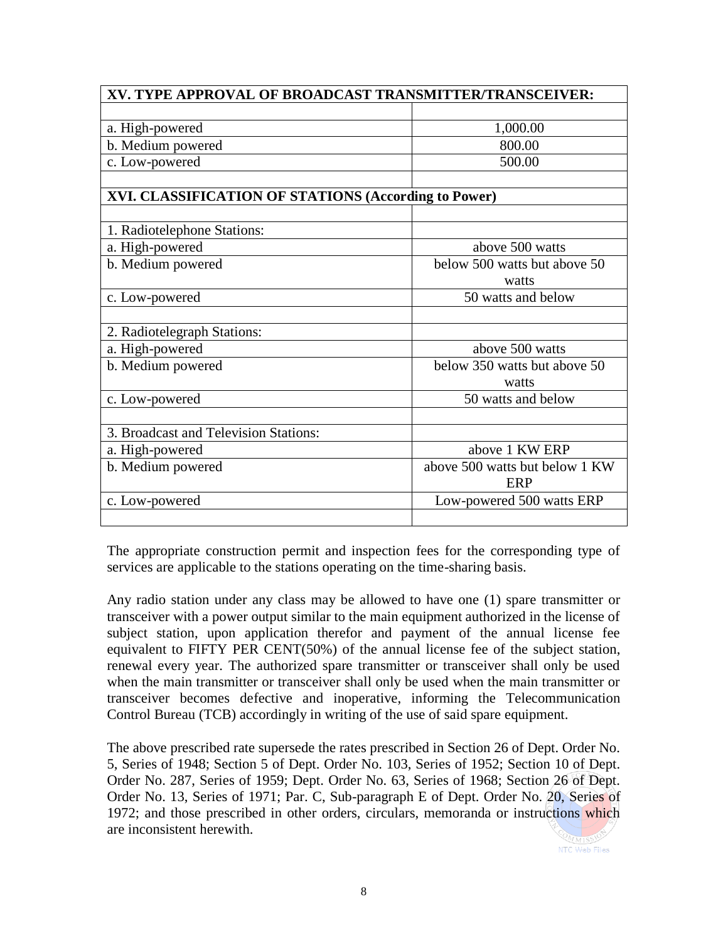| XV. TYPE APPROVAL OF BROADCAST TRANSMITTER/TRANSCEIVER: |                                |  |
|---------------------------------------------------------|--------------------------------|--|
|                                                         |                                |  |
| a. High-powered                                         | 1,000.00                       |  |
| b. Medium powered                                       | 800.00                         |  |
| c. Low-powered                                          | 500.00                         |  |
|                                                         |                                |  |
| XVI. CLASSIFICATION OF STATIONS (According to Power)    |                                |  |
|                                                         |                                |  |
| 1. Radiotelephone Stations:                             |                                |  |
| a. High-powered                                         | above 500 watts                |  |
| b. Medium powered                                       | below 500 watts but above 50   |  |
|                                                         | watts                          |  |
| c. Low-powered                                          | 50 watts and below             |  |
|                                                         |                                |  |
| 2. Radiotelegraph Stations:                             |                                |  |
| a. High-powered                                         | above 500 watts                |  |
| b. Medium powered                                       | below 350 watts but above 50   |  |
|                                                         | watts                          |  |
| c. Low-powered                                          | 50 watts and below             |  |
|                                                         |                                |  |
| 3. Broadcast and Television Stations:                   |                                |  |
| a. High-powered                                         | above 1 KW ERP                 |  |
| b. Medium powered                                       | above 500 watts but below 1 KW |  |
|                                                         | <b>ERP</b>                     |  |
| c. Low-powered                                          | Low-powered 500 watts ERP      |  |
|                                                         |                                |  |

The appropriate construction permit and inspection fees for the corresponding type of services are applicable to the stations operating on the time-sharing basis.

Any radio station under any class may be allowed to have one (1) spare transmitter or transceiver with a power output similar to the main equipment authorized in the license of subject station, upon application therefor and payment of the annual license fee equivalent to FIFTY PER CENT(50%) of the annual license fee of the subject station, renewal every year. The authorized spare transmitter or transceiver shall only be used when the main transmitter or transceiver shall only be used when the main transmitter or transceiver becomes defective and inoperative, informing the Telecommunication Control Bureau (TCB) accordingly in writing of the use of said spare equipment.

The above prescribed rate supersede the rates prescribed in Section 26 of Dept. Order No. 5, Series of 1948; Section 5 of Dept. Order No. 103, Series of 1952; Section 10 of Dept. Order No. 287, Series of 1959; Dept. Order No. 63, Series of 1968; Section 26 of Dept. Order No. 13, Series of 1971; Par. C, Sub-paragraph E of Dept. Order No. 20, Series of 1972; and those prescribed in other orders, circulars, memoranda or instructions which are inconsistent herewith.